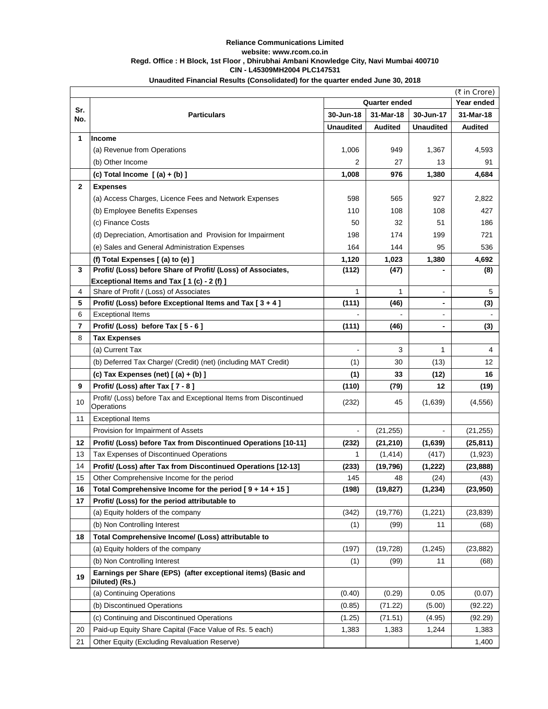|                         | (₹ in Crore)                                                                    |                  |                |                          |                |  |  |
|-------------------------|---------------------------------------------------------------------------------|------------------|----------------|--------------------------|----------------|--|--|
| Sr.                     | <b>Quarter ended</b>                                                            |                  |                |                          | Year ended     |  |  |
| No.                     | <b>Particulars</b>                                                              | 30-Jun-18        | 31-Mar-18      | 30-Jun-17                | 31-Mar-18      |  |  |
|                         |                                                                                 | <b>Unaudited</b> | <b>Audited</b> | <b>Unaudited</b>         | <b>Audited</b> |  |  |
| 1                       | <b>Income</b>                                                                   |                  |                |                          |                |  |  |
|                         | (a) Revenue from Operations                                                     | 1,006            | 949            | 1,367                    | 4,593          |  |  |
|                         | (b) Other Income                                                                | $\overline{2}$   | 27             | 13                       | 91             |  |  |
|                         | (c) Total Income $[(a) + (b)]$                                                  | 1,008            | 976            | 1,380                    | 4,684          |  |  |
| 2 <sup>1</sup>          | <b>Expenses</b>                                                                 |                  |                |                          |                |  |  |
|                         | (a) Access Charges, Licence Fees and Network Expenses                           | 598              | 565            | 927                      | 2,822          |  |  |
|                         | (b) Employee Benefits Expenses                                                  | 110              | 108            | 108                      | 427            |  |  |
|                         | (c) Finance Costs                                                               | 50               | 32             | 51                       | 186            |  |  |
|                         | (d) Depreciation, Amortisation and Provision for Impairment                     | 198              | 174            | 199                      | 721            |  |  |
|                         | (e) Sales and General Administration Expenses                                   | 164              | 144            | 95                       | 536            |  |  |
|                         | (f) Total Expenses [(a) to (e) ]                                                | 1,120            | 1,023          | 1,380                    | 4,692          |  |  |
| $\mathbf{3}$            | Profit/ (Loss) before Share of Profit/ (Loss) of Associates,                    | (112)            | (47)           |                          | (8)            |  |  |
|                         | Exceptional Items and Tax [1(c) - 2(f)]                                         |                  |                |                          |                |  |  |
| 4                       | Share of Profit / (Loss) of Associates                                          | 1                | 1              | Ξ.                       | 5              |  |  |
| 5                       | Profit/ (Loss) before Exceptional Items and Tax [3+4]                           | (111)            | (46)           | -                        | (3)            |  |  |
| 6                       | <b>Exceptional Items</b>                                                        |                  |                | $\overline{\phantom{0}}$ |                |  |  |
| $\overline{\mathbf{7}}$ | Profit/ (Loss) before Tax [5 - 6]                                               | (111)            | (46)           | $\blacksquare$           | (3)            |  |  |
| 8                       | <b>Tax Expenses</b>                                                             |                  |                |                          |                |  |  |
|                         | (a) Current Tax                                                                 |                  | 3              | 1                        | 4              |  |  |
|                         | (b) Deferred Tax Charge/ (Credit) (net) (including MAT Credit)                  | (1)              | 30             | (13)                     | 12             |  |  |
|                         | (c) Tax Expenses (net) $[(a) + (b)]$                                            | (1)              | 33             | (12)                     | 16             |  |  |
| 9                       | Profit/ (Loss) after Tax [7 - 8]                                                | (110)            | (79)           | 12                       | (19)           |  |  |
| 10                      | Profit/ (Loss) before Tax and Exceptional Items from Discontinued<br>Operations | (232)            | 45             | (1,639)                  | (4, 556)       |  |  |
| 11                      | <b>Exceptional Items</b>                                                        |                  |                |                          |                |  |  |
|                         | Provision for Impairment of Assets                                              | $\blacksquare$   | (21, 255)      | $\overline{\phantom{0}}$ | (21, 255)      |  |  |
| 12                      | Profit/ (Loss) before Tax from Discontinued Operations [10-11]                  | (232)            | (21, 210)      | (1,639)                  | (25, 811)      |  |  |
| 13                      | <b>Tax Expenses of Discontinued Operations</b>                                  | 1                | (1, 414)       | (417)                    | (1,923)        |  |  |
| 14                      | Profit/ (Loss) after Tax from Discontinued Operations [12-13]                   | (233)            | (19, 796)      | (1, 222)                 | (23, 888)      |  |  |
| 15                      | Other Comprehensive Income for the period                                       | 145              | 48             | (24)                     | (43)           |  |  |
| 16                      | Total Comprehensive Income for the period $[9 + 14 + 15]$                       | (198)            | (19, 827)      | (1, 234)                 | (23,950)       |  |  |
| 17                      | Profit/ (Loss) for the period attributable to                                   |                  |                |                          |                |  |  |
|                         | (a) Equity holders of the company                                               | (342)            | (19, 776)      | (1, 221)                 | (23, 839)      |  |  |
|                         | (b) Non Controlling Interest                                                    | (1)              | (99)           | 11                       | (68)           |  |  |
| 18                      | Total Comprehensive Income/ (Loss) attributable to                              |                  |                |                          |                |  |  |
|                         | (a) Equity holders of the company                                               | (197)            | (19, 728)      | (1, 245)                 | (23, 882)      |  |  |
|                         | (b) Non Controlling Interest                                                    | (1)              | (99)           | 11                       | (68)           |  |  |
| 19                      | Earnings per Share (EPS) (after exceptional items) (Basic and<br>Diluted) (Rs.) |                  |                |                          |                |  |  |
|                         | (a) Continuing Operations                                                       | (0.40)           | (0.29)         | 0.05                     | (0.07)         |  |  |
|                         | (b) Discontinued Operations                                                     | (0.85)           | (71.22)        | (5.00)                   | (92.22)        |  |  |
|                         | (c) Continuing and Discontinued Operations                                      | (1.25)           | (71.51)        | (4.95)                   | (92.29)        |  |  |
| 20                      | Paid-up Equity Share Capital (Face Value of Rs. 5 each)                         | 1,383            | 1,383          | 1,244                    | 1,383          |  |  |
| 21                      | Other Equity (Excluding Revaluation Reserve)                                    |                  |                |                          | 1,400          |  |  |

## **Unaudited Financial Results (Consolidated) for the quarter ended June 30, 2018 Reliance Communications Limited website: www.rcom.co.in Regd. Office : H Block, 1st Floor , Dhirubhai Ambani Knowledge City, Navi Mumbai 400710 CIN - L45309MH2004 PLC147531**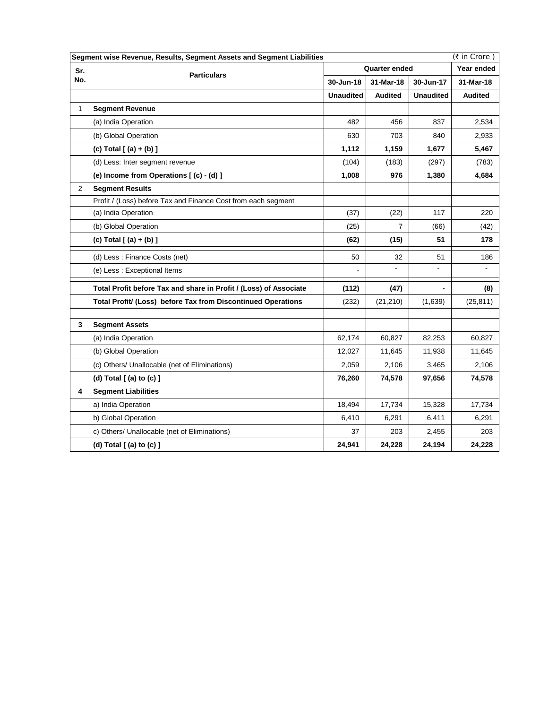|                | (₹ in Crore)<br>Segment wise Revenue, Results, Segment Assets and Segment Liabilities |                              |                |                              |                |  |  |  |
|----------------|---------------------------------------------------------------------------------------|------------------------------|----------------|------------------------------|----------------|--|--|--|
| Sr.            | <b>Particulars</b>                                                                    | <b>Quarter ended</b>         | Year ended     |                              |                |  |  |  |
| No.            |                                                                                       | 30-Jun-18                    | 31-Mar-18      | 30-Jun-17                    | 31-Mar-18      |  |  |  |
|                |                                                                                       | <b>Unaudited</b>             | <b>Audited</b> | <b>Unaudited</b>             | <b>Audited</b> |  |  |  |
| 1              | <b>Segment Revenue</b>                                                                |                              |                |                              |                |  |  |  |
|                | (a) India Operation                                                                   | 482                          | 456            | 837                          | 2,534          |  |  |  |
|                | (b) Global Operation                                                                  | 630                          | 703            | 840                          | 2,933          |  |  |  |
|                | (c) Total $[ (a) + (b) ]$                                                             | 1,112                        | 1,159          | 1,677                        | 5,467          |  |  |  |
|                | (d) Less: Inter segment revenue                                                       | (104)                        | (183)          | (297)                        | (783)          |  |  |  |
|                | (e) Income from Operations [(c) - (d) ]                                               | 1,008                        | 976            | 1,380                        | 4,684          |  |  |  |
| $\overline{2}$ | <b>Segment Results</b>                                                                |                              |                |                              |                |  |  |  |
|                | Profit / (Loss) before Tax and Finance Cost from each segment                         |                              |                |                              |                |  |  |  |
|                | (a) India Operation                                                                   | (37)                         | (22)           | 117                          | 220            |  |  |  |
|                | (b) Global Operation                                                                  | (25)                         | 7              | (66)                         | (42)           |  |  |  |
|                | (c) Total $[ (a) + (b) ]$                                                             | (62)                         | (15)           | 51                           | 178            |  |  |  |
|                | (d) Less: Finance Costs (net)                                                         | 50                           | 32             | 51                           | 186            |  |  |  |
|                | (e) Less: Exceptional Items                                                           | $\qquad \qquad \blacksquare$ | $\blacksquare$ | $\qquad \qquad \blacksquare$ |                |  |  |  |
|                | Total Profit before Tax and share in Profit / (Loss) of Associate                     | (112)                        | (47)           |                              | (8)            |  |  |  |
|                | Total Profit/ (Loss) before Tax from Discontinued Operations                          | (232)                        | (21, 210)      | (1,639)                      | (25, 811)      |  |  |  |
| 3              | <b>Segment Assets</b>                                                                 |                              |                |                              |                |  |  |  |
|                | (a) India Operation                                                                   | 62,174                       | 60,827         | 82,253                       | 60,827         |  |  |  |
|                |                                                                                       |                              |                |                              |                |  |  |  |
|                | (b) Global Operation                                                                  | 12,027                       | 11,645         | 11,938                       | 11,645         |  |  |  |
|                | (c) Others/ Unallocable (net of Eliminations)                                         | 2,059                        | 2,106          | 3,465                        | 2,106          |  |  |  |
|                | (d) Total $[$ (a) to $(c)$ $]$                                                        | 76,260                       | 74,578         | 97,656                       | 74,578         |  |  |  |
| 4              | <b>Segment Liabilities</b>                                                            |                              |                |                              |                |  |  |  |
|                | a) India Operation                                                                    | 18,494                       | 17,734         | 15,328                       | 17,734         |  |  |  |
|                | b) Global Operation                                                                   | 6,410                        | 6,291          | 6,411                        | 6,291          |  |  |  |
|                | c) Others/ Unallocable (net of Eliminations)                                          | 37                           | 203            | 2,455                        | 203            |  |  |  |
|                | (d) Total $[$ (a) to $(c)$ $]$                                                        | 24,941                       | 24,228         | 24,194                       | 24,228         |  |  |  |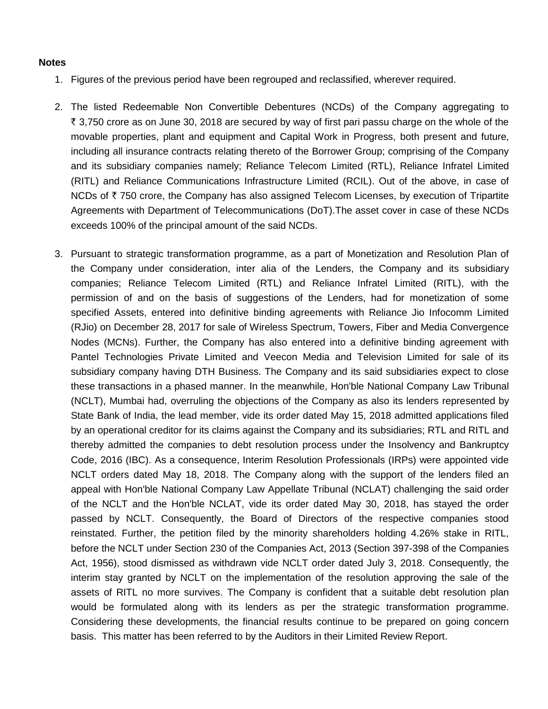## **Notes**

- 1. Figures of the previous period have been regrouped and reclassified, wherever required.
- 2. The listed Redeemable Non Convertible Debentures (NCDs) of the Company aggregating to  $\bar{\tau}$  3,750 crore as on June 30, 2018 are secured by way of first pari passu charge on the whole of the movable properties, plant and equipment and Capital Work in Progress, both present and future, including all insurance contracts relating thereto of the Borrower Group; comprising of the Company and its subsidiary companies namely; Reliance Telecom Limited (RTL), Reliance Infratel Limited (RITL) and Reliance Communications Infrastructure Limited (RCIL). Out of the above, in case of NCDs of  $\bar{\tau}$  750 crore, the Company has also assigned Telecom Licenses, by execution of Tripartite Agreements with Department of Telecommunications (DoT).The asset cover in case of these NCDs exceeds 100% of the principal amount of the said NCDs.
- 3. Pursuant to strategic transformation programme, as a part of Monetization and Resolution Plan of the Company under consideration, inter alia of the Lenders, the Company and its subsidiary companies; Reliance Telecom Limited (RTL) and Reliance Infratel Limited (RITL), with the permission of and on the basis of suggestions of the Lenders, had for monetization of some specified Assets, entered into definitive binding agreements with Reliance Jio Infocomm Limited (RJio) on December 28, 2017 for sale of Wireless Spectrum, Towers, Fiber and Media Convergence Nodes (MCNs). Further, the Company has also entered into a definitive binding agreement with Pantel Technologies Private Limited and Veecon Media and Television Limited for sale of its subsidiary company having DTH Business. The Company and its said subsidiaries expect to close these transactions in a phased manner. In the meanwhile, Hon'ble National Company Law Tribunal (NCLT), Mumbai had, overruling the objections of the Company as also its lenders represented by State Bank of India, the lead member, vide its order dated May 15, 2018 admitted applications filed by an operational creditor for its claims against the Company and its subsidiaries; RTL and RITL and thereby admitted the companies to debt resolution process under the Insolvency and Bankruptcy Code, 2016 (IBC). As a consequence, Interim Resolution Professionals (IRPs) were appointed vide NCLT orders dated May 18, 2018. The Company along with the support of the lenders filed an appeal with Hon'ble National Company Law Appellate Tribunal (NCLAT) challenging the said order of the NCLT and the Hon'ble NCLAT, vide its order dated May 30, 2018, has stayed the order passed by NCLT. Consequently, the Board of Directors of the respective companies stood reinstated. Further, the petition filed by the minority shareholders holding 4.26% stake in RITL, before the NCLT under Section 230 of the Companies Act, 2013 (Section 397-398 of the Companies Act, 1956), stood dismissed as withdrawn vide NCLT order dated July 3, 2018. Consequently, the interim stay granted by NCLT on the implementation of the resolution approving the sale of the assets of RITL no more survives. The Company is confident that a suitable debt resolution plan would be formulated along with its lenders as per the strategic transformation programme. Considering these developments, the financial results continue to be prepared on going concern basis. This matter has been referred to by the Auditors in their Limited Review Report.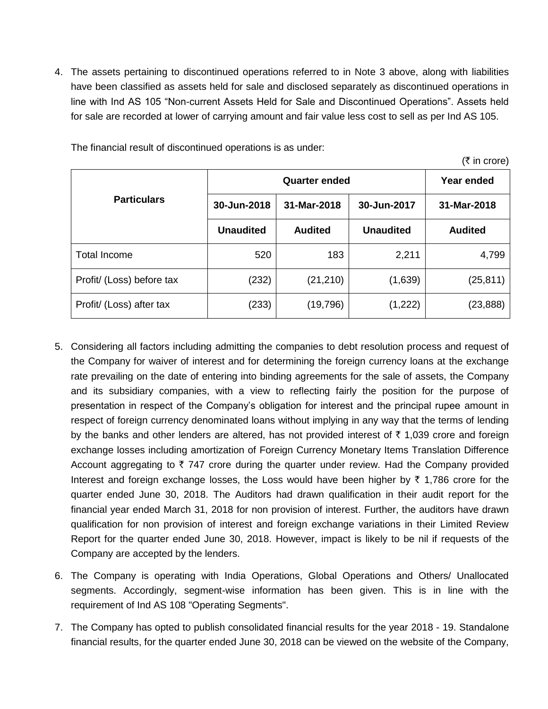4. The assets pertaining to discontinued operations referred to in Note 3 above, along with liabilities have been classified as assets held for sale and disclosed separately as discontinued operations in line with Ind AS 105 "Non-current Assets Held for Sale and Discontinued Operations". Assets held for sale are recorded at lower of carrying amount and fair value less cost to sell as per Ind AS 105.

|                           |                            | Year ended     |                  |                |  |
|---------------------------|----------------------------|----------------|------------------|----------------|--|
| <b>Particulars</b>        | 31-Mar-2018<br>30-Jun-2018 |                | 30-Jun-2017      | 31-Mar-2018    |  |
|                           | <b>Unaudited</b>           | <b>Audited</b> | <b>Unaudited</b> | <b>Audited</b> |  |
| Total Income              | 520                        | 183            | 2,211            | 4,799          |  |
| Profit/ (Loss) before tax | (232)                      | (21, 210)      | (1,639)          | (25, 811)      |  |
| Profit/ (Loss) after tax  | (233)                      | (19,796)       | (1,222)          | (23,888)       |  |

 $(\bar{\tau}$  in crore)

The financial result of discontinued operations is as under:

- 5. Considering all factors including admitting the companies to debt resolution process and request of the Company for waiver of interest and for determining the foreign currency loans at the exchange rate prevailing on the date of entering into binding agreements for the sale of assets, the Company and its subsidiary companies, with a view to reflecting fairly the position for the purpose of presentation in respect of the Company's obligation for interest and the principal rupee amount in respect of foreign currency denominated loans without implying in any way that the terms of lending by the banks and other lenders are altered, has not provided interest of  $\bar{\tau}$  1,039 crore and foreign exchange losses including amortization of Foreign Currency Monetary Items Translation Difference Account aggregating to  $\overline{\zeta}$  747 crore during the quarter under review. Had the Company provided Interest and foreign exchange losses, the Loss would have been higher by  $\bar{\tau}$  1,786 crore for the quarter ended June 30, 2018. The Auditors had drawn qualification in their audit report for the financial year ended March 31, 2018 for non provision of interest. Further, the auditors have drawn qualification for non provision of interest and foreign exchange variations in their Limited Review Report for the quarter ended June 30, 2018. However, impact is likely to be nil if requests of the Company are accepted by the lenders.
- 6. The Company is operating with India Operations, Global Operations and Others/ Unallocated segments. Accordingly, segment-wise information has been given. This is in line with the requirement of Ind AS 108 "Operating Segments".
- 7. The Company has opted to publish consolidated financial results for the year 2018 19. Standalone financial results, for the quarter ended June 30, 2018 can be viewed on the website of the Company,